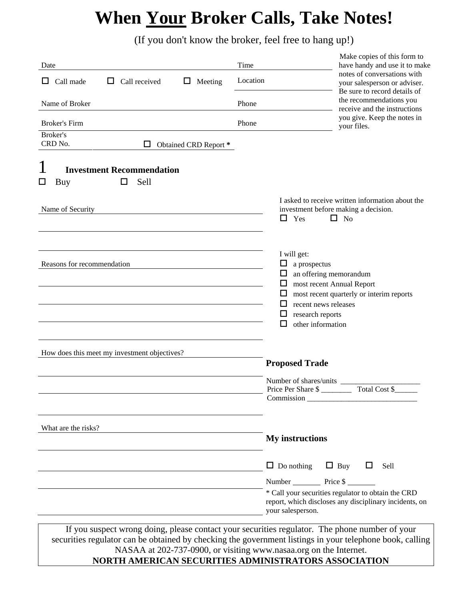## **When Your Broker Calls, Take Notes!**

(If you don't know the broker, feel free to hang up!)

| Date                                                           | Make copies of this form to<br>Time<br>have handy and use it to make                                                                                                                                                               |
|----------------------------------------------------------------|------------------------------------------------------------------------------------------------------------------------------------------------------------------------------------------------------------------------------------|
| Call made<br>Call received<br>0<br>Meeting<br>ப<br>ப           | notes of conversations with<br>Location<br>your salesperson or adviser.<br>Be sure to record details of                                                                                                                            |
| Name of Broker                                                 | the recommendations you<br>Phone<br>receive and the instructions                                                                                                                                                                   |
| <b>Broker's Firm</b>                                           | you give. Keep the notes in<br>Phone<br>your files.                                                                                                                                                                                |
| Broker's<br>CRD No.<br>□<br>Obtained CRD Report *              |                                                                                                                                                                                                                                    |
| 1<br><b>Investment Recommendation</b><br>Sell<br>□<br>□<br>Buy |                                                                                                                                                                                                                                    |
| Name of Security                                               | I asked to receive written information about the<br>investment before making a decision.<br>◻<br>Yes<br>$\Box$ No                                                                                                                  |
| Reasons for recommendation                                     | I will get:<br>Ц<br>a prospectus<br>an offering memorandum<br>ப<br>⊔<br>most recent Annual Report<br>□<br>most recent quarterly or interim reports<br>ப<br>recent news releases<br>research reports<br>ப<br>other information<br>ப |
| How does this meet my investment objectives?                   | <b>Proposed Trade</b>                                                                                                                                                                                                              |
|                                                                | Number of shares/units<br>Total Cost \$<br>Price Per Share \$<br>Commission                                                                                                                                                        |
| What are the risks?                                            | <b>My instructions</b>                                                                                                                                                                                                             |
|                                                                | $\Box$ Buy<br>$\Box$ Do nothing<br>$\Box$<br>Sell<br>Number Price \$<br>* Call your securities regulator to obtain the CRD<br>report, which discloses any disciplinary incidents, on                                               |
|                                                                | your salesperson.                                                                                                                                                                                                                  |

If you suspect wrong doing, please contact your securities regulator. The phone number of your securities regulator can be obtained by checking the government listings in your telephone book, calling NASAA at 202-737-0900, or visiting www.nasaa.org on the Internet. **NORTH AMERICAN SECURITIES ADMINISTRATORS ASSOCIATION**